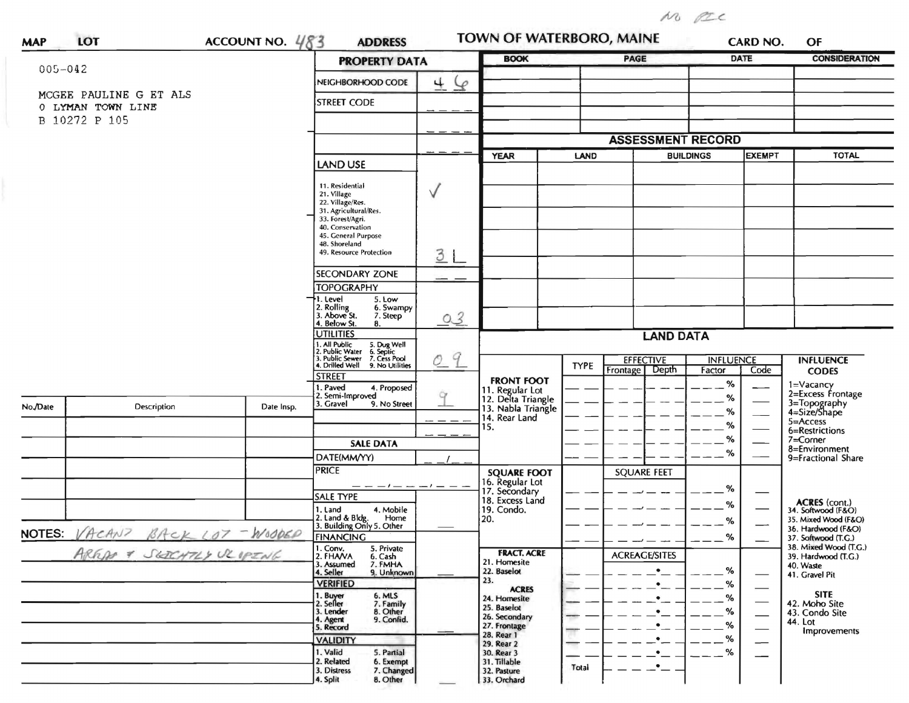M Re

| <b>MAP</b>    | LOT                                         | ACCOUNT NO. $483$ | <b>ADDRESS</b>                                                                                  |                      | <b>TOWN OF WATERBORO, MAINE</b>                                                     |             |                                              |                                   | CARD NO.                                                           | OF                                           |  |
|---------------|---------------------------------------------|-------------------|-------------------------------------------------------------------------------------------------|----------------------|-------------------------------------------------------------------------------------|-------------|----------------------------------------------|-----------------------------------|--------------------------------------------------------------------|----------------------------------------------|--|
| 005-042       |                                             |                   |                                                                                                 | <b>PROPERTY DATA</b> |                                                                                     |             | PAGE                                         |                                   | <b>DATE</b>                                                        | <b>CONSIDERATION</b>                         |  |
|               |                                             |                   | NEIGHBORHOOD CODE                                                                               | $\pm$<br>$\varphi$   |                                                                                     |             |                                              |                                   |                                                                    |                                              |  |
|               | MCGEE PAULINE G ET ALS<br>0 LYMAN TOWN LINE |                   | <b>STREET CODE</b>                                                                              |                      |                                                                                     |             |                                              |                                   |                                                                    |                                              |  |
| B 10272 P 105 |                                             |                   |                                                                                                 |                      |                                                                                     |             |                                              |                                   |                                                                    |                                              |  |
|               |                                             |                   |                                                                                                 |                      |                                                                                     |             | <b>ASSESSMENT RECORD</b>                     |                                   |                                                                    |                                              |  |
|               |                                             |                   |                                                                                                 |                      | <b>YEAR</b>                                                                         | LAND        |                                              | <b>EXEMPT</b><br><b>BUILDINGS</b> |                                                                    | <b>TOTAL</b>                                 |  |
|               |                                             |                   | <b>LAND USE</b>                                                                                 |                      |                                                                                     |             |                                              |                                   |                                                                    |                                              |  |
|               |                                             |                   | 11. Residential<br>21. Village                                                                  | $\vee$               |                                                                                     |             |                                              |                                   |                                                                    |                                              |  |
|               |                                             |                   | 22. Village/Res.<br>31. Agricultural/Res.                                                       |                      |                                                                                     |             |                                              |                                   |                                                                    |                                              |  |
|               |                                             |                   | 33. Forest/Agri.<br>40. Conservation                                                            |                      |                                                                                     |             |                                              |                                   |                                                                    |                                              |  |
|               |                                             |                   | 45. General Purpose<br>48. Shoreland<br>49. Resource Protection                                 |                      |                                                                                     |             |                                              |                                   |                                                                    |                                              |  |
|               |                                             |                   |                                                                                                 | $\frac{3}{2}L$       |                                                                                     |             |                                              |                                   |                                                                    |                                              |  |
|               |                                             |                   | <b>SECONDARY ZONE</b><br><b>TOPOGRAPHY</b>                                                      |                      |                                                                                     |             |                                              |                                   |                                                                    |                                              |  |
|               |                                             |                   | 1. Level<br>5. Low                                                                              |                      |                                                                                     |             |                                              |                                   |                                                                    |                                              |  |
|               |                                             |                   | 2. Rolling<br>3. Above St.<br>6. Swampy<br>7. Steep<br>4. Below St.<br>8.                       | 03                   |                                                                                     |             |                                              |                                   |                                                                    |                                              |  |
|               |                                             |                   | <b>UTILITIES</b>                                                                                |                      | <b>LAND DATA</b>                                                                    |             |                                              |                                   |                                                                    |                                              |  |
|               |                                             |                   | 1. All Public<br>2. Public Water<br>3. Public Sewer<br>5. Dug Well<br>6. Septic<br>7. Cess Pool | 0.9                  |                                                                                     |             |                                              |                                   |                                                                    |                                              |  |
|               |                                             |                   | 4. Drilled Well<br>9. No Utilities<br><b>STREET</b>                                             |                      |                                                                                     | <b>TYPE</b> | <b>EFFECTIVE</b><br>Depth<br><b>Frontage</b> | <b>INFLUENCE</b><br>Factor        | Code                                                               | <b>INFLUENCE</b><br><b>CODES</b>             |  |
|               |                                             |                   | 1. Paved<br>4. Proposed                                                                         |                      | <b>FRONT FOOT</b>                                                                   |             |                                              | $\%$                              |                                                                    | $1 = \sqrt{2}$<br>2=Excess Frontage          |  |
| No./Date      | <b>Description</b>                          | Date Insp.        | 2. Semi-Improved<br>3. Gravel<br>9. No Street                                                   | 9                    | 11. Regular Lot<br>12. Delta Triangle<br>13. Nabla Triangle<br>14. Rear Land<br>15. |             |                                              | %<br>℅                            |                                                                    | 3=Topography<br>4=Size/Shape                 |  |
|               |                                             |                   |                                                                                                 |                      |                                                                                     |             |                                              | ℅                                 |                                                                    | $5 = Access$                                 |  |
|               |                                             |                   | <b>SALE DATA</b>                                                                                |                      |                                                                                     |             |                                              | %                                 |                                                                    | 6=Restrictions<br>7=Corner                   |  |
|               |                                             |                   | DATE(MM/YY)                                                                                     |                      |                                                                                     |             |                                              | %                                 |                                                                    | 8=Environment<br>9=Fractional Share          |  |
|               |                                             |                   | <b>PRICE</b>                                                                                    |                      | <b>SQUARE FOOT</b><br>16. Regular Lot                                               |             | <b>SQUARE FEET</b>                           |                                   |                                                                    |                                              |  |
|               |                                             |                   | <b>SALE TYPE</b>                                                                                | $-1 - - -$           | 17. Secondary<br>18. Excess Land                                                    |             |                                              | $\%$                              |                                                                    |                                              |  |
|               |                                             |                   | 1. Land<br>4. Mobile<br>Home                                                                    |                      | 19. Condo.<br>20.<br><b>FRACT. ACRE</b>                                             |             |                                              | %                                 | <b>ACRES</b> (cont.)<br>34. Softwood (F&O)<br>35. Mixed Wood (F&O) |                                              |  |
| <b>NOTES:</b> | VACANZ BACK LOT - WOODER                    |                   | 2. Land & Bldg. Home<br>3. Building Only 5. Other<br><b>FINANCING</b>                           |                      |                                                                                     |             |                                              | %                                 |                                                                    | 36. Hardwood (F&O)                           |  |
|               | ARRAN & SETCHTLY UL OPING                   |                   | 1. Conv.<br>5. Private                                                                          |                      |                                                                                     |             |                                              | %                                 |                                                                    | 37. Softwood (T.G.)<br>38. Mixed Wood (T.G.) |  |
|               |                                             |                   | 2. FHAVA<br>6. Cash<br>3. Assumed<br>7. FMHA<br>4. Seller<br>9. Unknown                         |                      | 21. Homesite<br>22. Baselot                                                         |             | <b>ACREAGE/SITES</b><br>$\bullet$            | %                                 |                                                                    | 39. Hardwood (T.G.)<br>40. Waste             |  |
|               |                                             |                   | <b>VERIFIED</b>                                                                                 |                      | 23.<br><b>ACRES</b>                                                                 |             | $\bullet$                                    | %                                 |                                                                    | 41. Gravel Pit                               |  |
|               |                                             |                   | 1. Buyer<br>6. MLS<br>2. Seller<br>7. Family                                                    |                      | 24. Homesite                                                                        |             | $\bullet$                                    | %                                 |                                                                    | <b>SITE</b><br>42. Moho Site                 |  |
|               |                                             |                   | 8. Other<br>3. Lender<br>9. Confid.<br>4. Agent                                                 |                      | 25. Baselot<br>26. Secondary                                                        |             |                                              | %                                 |                                                                    | 43. Condo Site<br>44. Lot                    |  |
|               |                                             |                   | 5. Record<br><b>VALIDITY</b>                                                                    |                      | 27. Frontage<br>28. Rear 1                                                          |             |                                              | ℅<br>℅                            |                                                                    | Improvements                                 |  |
|               |                                             |                   | 1. Valid<br>5. Partial                                                                          |                      | 29. Rear 2<br>30. Rear 3                                                            |             |                                              | ℅                                 |                                                                    |                                              |  |
|               |                                             |                   | 2. Related<br>6. Exempt<br>3. Distress<br>7. Changed                                            |                      | 31. Tillable<br>32. Pasture                                                         | Total       |                                              |                                   |                                                                    |                                              |  |
|               |                                             |                   | 8. Other<br>4. Split                                                                            |                      | 33. Orchard                                                                         |             |                                              |                                   |                                                                    |                                              |  |